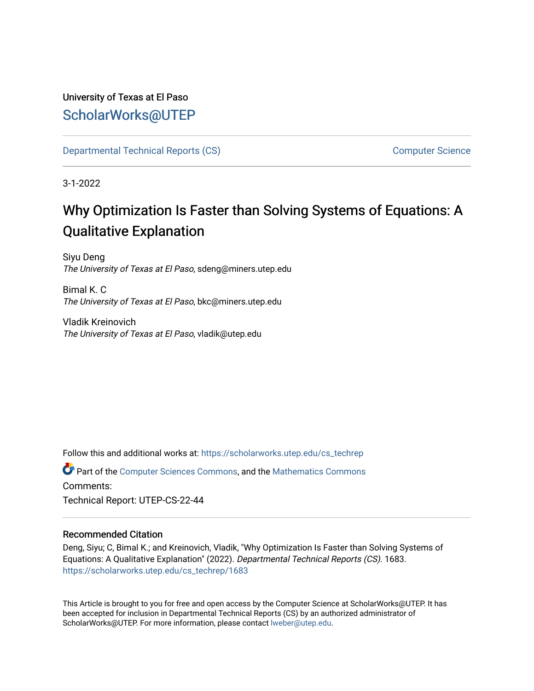# University of Texas at El Paso [ScholarWorks@UTEP](https://scholarworks.utep.edu/)

[Departmental Technical Reports \(CS\)](https://scholarworks.utep.edu/cs_techrep) [Computer Science](https://scholarworks.utep.edu/computer) 

3-1-2022

# Why Optimization Is Faster than Solving Systems of Equations: A Qualitative Explanation

Siyu Deng The University of Texas at El Paso, sdeng@miners.utep.edu

Bimal K. C The University of Texas at El Paso, bkc@miners.utep.edu

Vladik Kreinovich The University of Texas at El Paso, vladik@utep.edu

Follow this and additional works at: [https://scholarworks.utep.edu/cs\\_techrep](https://scholarworks.utep.edu/cs_techrep?utm_source=scholarworks.utep.edu%2Fcs_techrep%2F1683&utm_medium=PDF&utm_campaign=PDFCoverPages) 

Part of the [Computer Sciences Commons](http://network.bepress.com/hgg/discipline/142?utm_source=scholarworks.utep.edu%2Fcs_techrep%2F1683&utm_medium=PDF&utm_campaign=PDFCoverPages), and the [Mathematics Commons](http://network.bepress.com/hgg/discipline/174?utm_source=scholarworks.utep.edu%2Fcs_techrep%2F1683&utm_medium=PDF&utm_campaign=PDFCoverPages)  Comments:

Technical Report: UTEP-CS-22-44

## Recommended Citation

Deng, Siyu; C, Bimal K.; and Kreinovich, Vladik, "Why Optimization Is Faster than Solving Systems of Equations: A Qualitative Explanation" (2022). Departmental Technical Reports (CS). 1683. [https://scholarworks.utep.edu/cs\\_techrep/1683](https://scholarworks.utep.edu/cs_techrep/1683?utm_source=scholarworks.utep.edu%2Fcs_techrep%2F1683&utm_medium=PDF&utm_campaign=PDFCoverPages) 

This Article is brought to you for free and open access by the Computer Science at ScholarWorks@UTEP. It has been accepted for inclusion in Departmental Technical Reports (CS) by an authorized administrator of ScholarWorks@UTEP. For more information, please contact [lweber@utep.edu](mailto:lweber@utep.edu).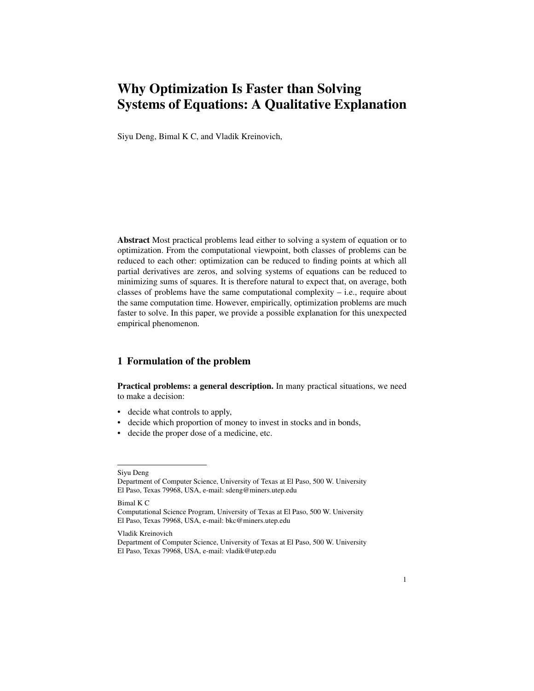# Why Optimization Is Faster than Solving Systems of Equations: A Qualitative Explanation

Siyu Deng, Bimal K C, and Vladik Kreinovich,

Abstract Most practical problems lead either to solving a system of equation or to optimization. From the computational viewpoint, both classes of problems can be reduced to each other: optimization can be reduced to finding points at which all partial derivatives are zeros, and solving systems of equations can be reduced to minimizing sums of squares. It is therefore natural to expect that, on average, both classes of problems have the same computational complexity  $-$  i.e., require about the same computation time. However, empirically, optimization problems are much faster to solve. In this paper, we provide a possible explanation for this unexpected empirical phenomenon.

## 1 Formulation of the problem

Practical problems: a general description. In many practical situations, we need to make a decision:

- decide what controls to apply,
- decide which proportion of money to invest in stocks and in bonds,
- decide the proper dose of a medicine, etc.

Siyu Deng

Department of Computer Science, University of Texas at El Paso, 500 W. University El Paso, Texas 79968, USA, e-mail: sdeng@miners.utep.edu

Bimal K C

Computational Science Program, University of Texas at El Paso, 500 W. University El Paso, Texas 79968, USA, e-mail: bkc@miners.utep.edu

Vladik Kreinovich

Department of Computer Science, University of Texas at El Paso, 500 W. University El Paso, Texas 79968, USA, e-mail: vladik@utep.edu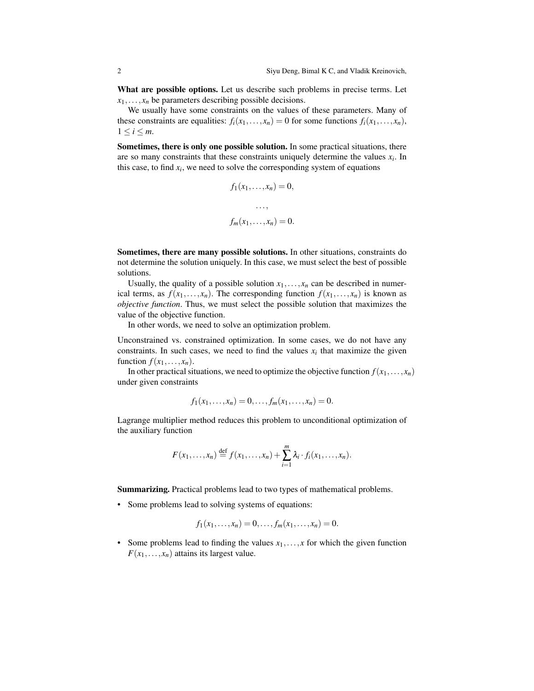What are possible options. Let us describe such problems in precise terms. Let  $x_1, \ldots, x_n$  be parameters describing possible decisions.

We usually have some constraints on the values of these parameters. Many of these constraints are equalities:  $f_i(x_1,...,x_n) = 0$  for some functions  $f_i(x_1,...,x_n)$ ,  $1 \leq i \leq m$ .

Sometimes, there is only one possible solution. In some practical situations, there are so many constraints that these constraints uniquely determine the values  $x_i$ . In this case, to find  $x_i$ , we need to solve the corresponding system of equations

$$
f_1(x_1,...,x_n) = 0,
$$
  
...,  

$$
f_m(x_1,...,x_n) = 0.
$$

Sometimes, there are many possible solutions. In other situations, constraints do not determine the solution uniquely. In this case, we must select the best of possible solutions.

Usually, the quality of a possible solution  $x_1, \ldots, x_n$  can be described in numerical terms, as  $f(x_1,...,x_n)$ . The corresponding function  $f(x_1,...,x_n)$  is known as *objective function*. Thus, we must select the possible solution that maximizes the value of the objective function.

In other words, we need to solve an optimization problem.

Unconstrained vs. constrained optimization. In some cases, we do not have any constraints. In such cases, we need to find the values  $x_i$  that maximize the given function  $f(x_1, \ldots, x_n)$ .

In other practical situations, we need to optimize the objective function  $f(x_1,...,x_n)$ under given constraints

$$
f_1(x_1,...,x_n) = 0,...,f_m(x_1,...,x_n) = 0.
$$

Lagrange multiplier method reduces this problem to unconditional optimization of the auxiliary function

$$
F(x_1,\ldots,x_n)\stackrel{\text{def}}{=} f(x_1,\ldots,x_n)+\sum_{i=1}^m \lambda_i \cdot f_i(x_1,\ldots,x_n).
$$

Summarizing. Practical problems lead to two types of mathematical problems.

• Some problems lead to solving systems of equations:

$$
f_1(x_1,...,x_n) = 0,...,f_m(x_1,...,x_n) = 0.
$$

• Some problems lead to finding the values  $x_1, \ldots, x$  for which the given function  $F(x_1,...,x_n)$  attains its largest value.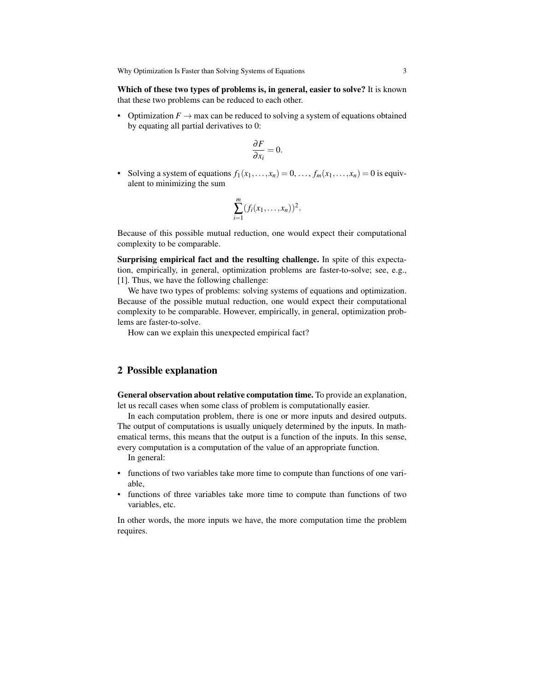Which of these two types of problems is, in general, easier to solve? It is known that these two problems can be reduced to each other.

• Optimization  $F \to \text{max}$  can be reduced to solving a system of equations obtained by equating all partial derivatives to 0:

$$
\frac{\partial F}{\partial x_i} = 0.
$$

• Solving a system of equations  $f_1(x_1,...,x_n) = 0,..., f_m(x_1,...,x_n) = 0$  is equivalent to minimizing the sum

$$
\sum_{i=1}^m (f_i(x_1,\ldots,x_n))^2.
$$

Because of this possible mutual reduction, one would expect their computational complexity to be comparable.

Surprising empirical fact and the resulting challenge. In spite of this expectation, empirically, in general, optimization problems are faster-to-solve; see, e.g., [1]. Thus, we have the following challenge:

We have two types of problems: solving systems of equations and optimization. Because of the possible mutual reduction, one would expect their computational complexity to be comparable. However, empirically, in general, optimization problems are faster-to-solve.

How can we explain this unexpected empirical fact?

### 2 Possible explanation

General observation about relative computation time. To provide an explanation, let us recall cases when some class of problem is computationally easier.

In each computation problem, there is one or more inputs and desired outputs. The output of computations is usually uniquely determined by the inputs. In mathematical terms, this means that the output is a function of the inputs. In this sense, every computation is a computation of the value of an appropriate function.

In general:

- functions of two variables take more time to compute than functions of one variable,
- functions of three variables take more time to compute than functions of two variables, etc.

In other words, the more inputs we have, the more computation time the problem requires.